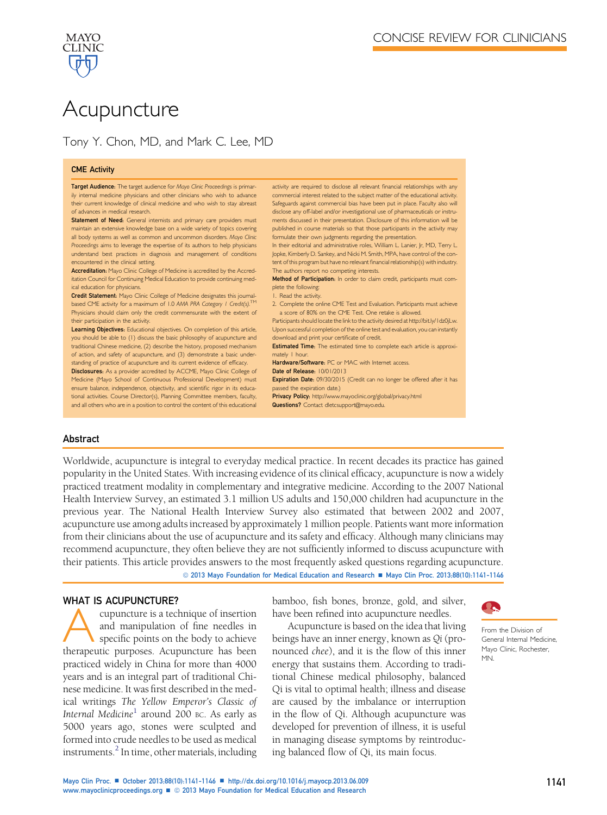

# **Acupuncture**

# Tony Y. Chon, MD, and Mark C. Lee, MD

#### CME Activity

Target Audience: The target audience for Mayo Clinic Proceedings is primarily internal medicine physicians and other clinicians who wish to advance their current knowledge of clinical medicine and who wish to stay abreast of advances in medical research. Statement of Need: General internists and primary care providers must

maintain an extensive knowledge base on a wide variety of topics covering all body systems as well as common and uncommon disorders. Mayo Clinic Proceedings aims to leverage the expertise of its authors to help physicians understand best practices in diagnosis and management of conditions encountered in the clinical setting.

Accreditation: Mayo Clinic College of Medicine is accredited by the Accreditation Council for Continuing Medical Education to provide continuing medical education for physicians.

Credit Statement: Mayo Clinic College of Medicine designates this journalbased CME activity for a maximum of 1.0 AMA PRA Category 1 Credit(s).<sup>TM</sup> Physicians should claim only the credit commensurate with the extent of their participation in the activity.

Learning Objectives: Educational objectives. On completion of this article. you should be able to (1) discuss the basic philosophy of acupuncture and traditional Chinese medicine, (2) describe the history, proposed mechanism of action, and safety of acupuncture, and (3) demonstrate a basic understanding of practice of acupuncture and its current evidence of efficacy.

Disclosures: As a provider accredited by ACCME, Mayo Clinic College of Medicine (Mayo School of Continuous Professional Development) must ensure balance, independence, objectivity, and scientific rigor in its educational activities. Course Director(s), Planning Committee members, faculty, and all others who are in a position to control the content of this educational

activity are required to disclose all relevant financial relationships with any commercial interest related to the subject matter of the educational activity. Safeguards against commercial bias have been put in place. Faculty also will disclose any off-label and/or investigational use of pharmaceuticals or instruments discussed in their presentation. Disclosure of this information will be published in course materials so that those participants in the activity may formulate their own judgments regarding the presentation.

In their editorial and administrative roles, William L. Lanier, Jr, MD, Terry L. Jopke, Kimberly D. Sankey, and Nicki M. Smith, MPA, have control of the content of this program but have no relevant financial relationship(s) with industry. The authors report no competing interests.

Method of Participation: In order to claim credit, participants must complete the following:

1. Read the activity.

2. Complete the online CME Test and Evaluation. Participants must achieve a score of 80% on the CME Test. One retake is allowed.

Participants should locate the link to the activity desired at<http://bit.ly/1dz0jLw>. Upon successful completion of the online test and evaluation, you can instantly download and print your certificate of credit.

Estimated Time: The estimated time to complete each article is approximately 1 hour.

Hardware/Software: PC or MAC with Internet access. Date of Release: 10/01/2013

Expiration Date: 09/30/2015 (Credit can no longer be offered after it has passed the expiration date.)

Privacy Policy: <http://www.mayoclinic.org/global/privacy.html> Questions? Contact [dletcsupport@mayo.edu.](mailto:dletcsupport@mayo.edu)

#### Abstract

Worldwide, acupuncture is integral to everyday medical practice. In recent decades its practice has gained popularity in the United States. With increasing evidence of its clinical efficacy, acupuncture is now a widely practiced treatment modality in complementary and integrative medicine. According to the 2007 National Health Interview Survey, an estimated 3.1 million US adults and 150,000 children had acupuncture in the previous year. The National Health Interview Survey also estimated that between 2002 and 2007, acupuncture use among adults increased by approximately 1 million people. Patients want more information from their clinicians about the use of acupuncture and its safety and efficacy. Although many clinicians may recommend acupuncture, they often believe they are not sufficiently informed to discuss acupuncture with their patients. This article provides answers to the most frequently asked questions regarding acupuncture.

© 2013 Mayo Foundation for Medical Education and Research ■ Mayo Clin Proc. 2013;88(10):1141-1146

#### WHAT IS ACUPUNCTURE?

Explorative is a technique of insertion<br>and manipulation of fine needles in<br>specific points on the body to achieve<br>therapeutic purposes. Acupuncture has been and manipulation of fine needles in specific points on the body to achieve therapeutic purposes. Acupuncture has been practiced widely in China for more than 4000 years and is an integral part of traditional Chinese medicine. It was first described in the medical writings The Yellow Emperor's Classic of Internal Medicine<sup>[1](#page-4-0)</sup> around 200 BC. As early as 5000 years ago, stones were sculpted and formed into crude needles to be used as medical instruments. $\frac{2}{3}$  $\frac{2}{3}$  $\frac{2}{3}$  In time, other materials, including bamboo, fish bones, bronze, gold, and silver, have been refined into acupuncture needles.

Acupuncture is based on the idea that living beings have an inner energy, known as Qi (pronounced chee), and it is the flow of this inner energy that sustains them. According to traditional Chinese medical philosophy, balanced Qi is vital to optimal health; illness and disease are caused by the imbalance or interruption in the flow of Qi. Although acupuncture was developed for prevention of illness, it is useful in managing disease symptoms by reintroducing balanced flow of Qi, its main focus.



From the Division of General Internal Medicine, Mayo Clinic, Rochester, MN.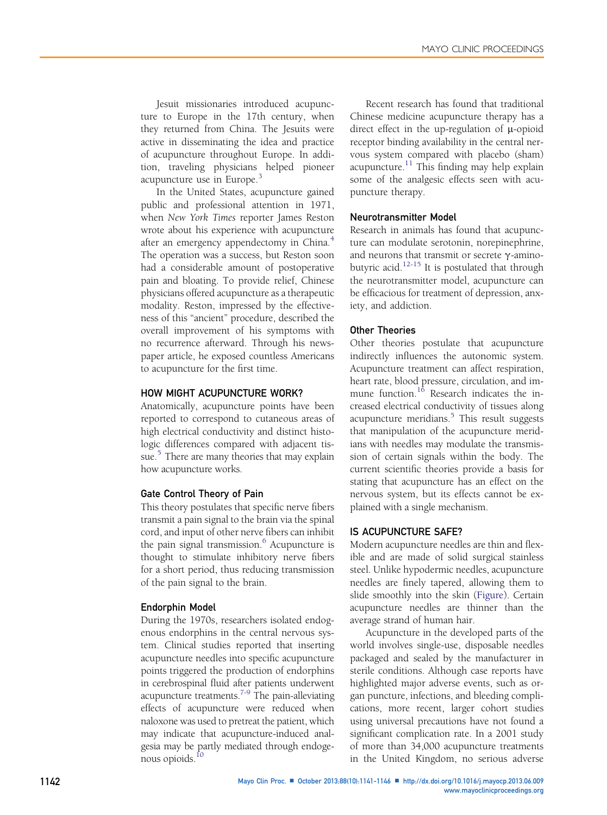Jesuit missionaries introduced acupuncture to Europe in the 17th century, when they returned from China. The Jesuits were active in disseminating the idea and practice of acupuncture throughout Europe. In addition, traveling physicians helped pioneer acupuncture use in Europe.<sup>[3](#page-4-0)</sup>

In the United States, acupuncture gained public and professional attention in 1971, when New York Times reporter James Reston wrote about his experience with acupuncture after an emergency appendectomy in China.<sup>[4](#page-4-0)</sup> The operation was a success, but Reston soon had a considerable amount of postoperative pain and bloating. To provide relief, Chinese physicians offered acupuncture as a therapeutic modality. Reston, impressed by the effectiveness of this "ancient" procedure, described the overall improvement of his symptoms with no recurrence afterward. Through his newspaper article, he exposed countless Americans to acupuncture for the first time.

# HOW MIGHT ACUPUNCTURE WORK?

Anatomically, acupuncture points have been reported to correspond to cutaneous areas of high electrical conductivity and distinct histologic differences compared with adjacent tissue. $5$  There are many theories that may explain how acupuncture works.

#### Gate Control Theory of Pain

This theory postulates that specific nerve fibers transmit a pain signal to the brain via the spinal cord, and input of other nerve fibers can inhibit the pain signal transmission. $6$  Acupuncture is thought to stimulate inhibitory nerve fibers for a short period, thus reducing transmission of the pain signal to the brain.

#### Endorphin Model

During the 1970s, researchers isolated endogenous endorphins in the central nervous system. Clinical studies reported that inserting acupuncture needles into specific acupuncture points triggered the production of endorphins in cerebrospinal fluid after patients underwent acupuncture treatments. $7-9$  The pain-alleviating effects of acupuncture were reduced when naloxone was used to pretreat the patient, which may indicate that acupuncture-induced analgesia may be partly mediated through endogenous opioids.<sup>10</sup>

Recent research has found that traditional Chinese medicine acupuncture therapy has a direct effect in the up-regulation of  $\mu$ -opioid receptor binding availability in the central nervous system compared with placebo (sham) acupuncture. $^{11}$  This finding may help explain some of the analgesic effects seen with acupuncture therapy.

## Neurotransmitter Model

Research in animals has found that acupuncture can modulate serotonin, norepinephrine, and neurons that transmit or secrete  $\gamma$ -amino-<br>butyric acid.<sup>[12-15](#page-5-0)</sup> It is postulated that through the neurotransmitter model, acupuncture can be efficacious for treatment of depression, anxiety, and addiction.

## Other Theories

Other theories postulate that acupuncture indirectly influences the autonomic system. Acupuncture treatment can affect respiration, heart rate, blood pressure, circulation, and im-mune function.<sup>[16](#page-5-0)</sup> Research indicates the increased electrical conductivity of tissues along acupuncture meridians. $5$  This result suggests that manipulation of the acupuncture meridians with needles may modulate the transmission of certain signals within the body. The current scientific theories provide a basis for stating that acupuncture has an effect on the nervous system, but its effects cannot be explained with a single mechanism.

# IS ACUPUNCTURE SAFE?

Modern acupuncture needles are thin and flexible and are made of solid surgical stainless steel. Unlike hypodermic needles, acupuncture needles are finely tapered, allowing them to slide smoothly into the skin ([Figure](#page-2-0)). Certain acupuncture needles are thinner than the average strand of human hair.

Acupuncture in the developed parts of the world involves single-use, disposable needles packaged and sealed by the manufacturer in sterile conditions. Although case reports have highlighted major adverse events, such as organ puncture, infections, and bleeding complications, more recent, larger cohort studies using universal precautions have not found a significant complication rate. In a 2001 study of more than 34,000 acupuncture treatments in the United Kingdom, no serious adverse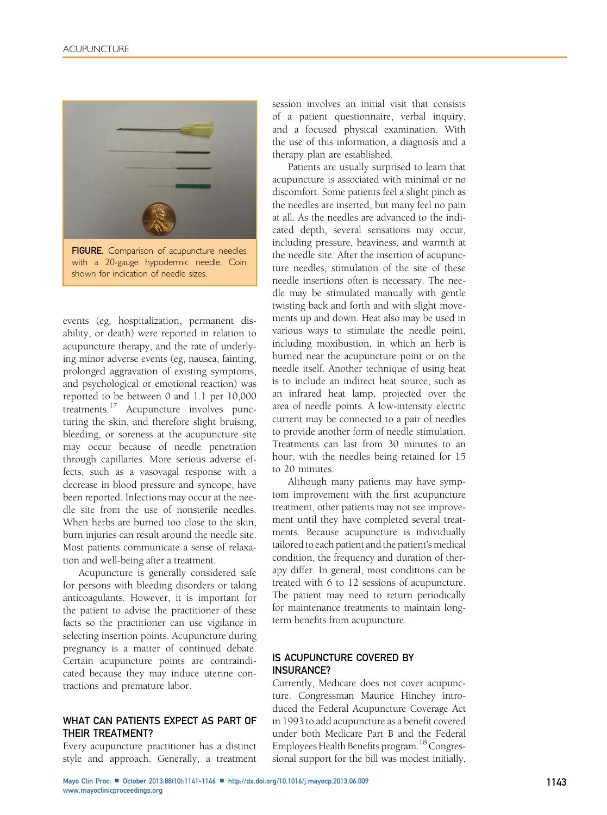<span id="page-2-0"></span>

events (eg, hospitalization, permanent disability, or death) were reported in relation to acupuncture therapy, and the rate of underlying minor adverse events (eg, nausea, fainting, prolonged aggravation of existing symptoms, and psychological or emotional reaction) was reported to be between 0 and 1.1 per 10,000 treatments.[17](#page-5-0) Acupuncture involves puncturing the skin, and therefore slight bruising, bleeding, or soreness at the acupuncture site may occur because of needle penetration through capillaries. More serious adverse effects, such as a vasovagal response with a decrease in blood pressure and syncope, have been reported. Infections may occur at the needle site from the use of nonsterile needles. When herbs are burned too close to the skin, burn injuries can result around the needle site. Most patients communicate a sense of relaxation and well-being after a treatment.

Acupuncture is generally considered safe for persons with bleeding disorders or taking anticoagulants. However, it is important for the patient to advise the practitioner of these facts so the practitioner can use vigilance in selecting insertion points. Acupuncture during pregnancy is a matter of continued debate. Certain acupuncture points are contraindicated because they may induce uterine contractions and premature labor.

# WHAT CAN PATIENTS EXPECT AS PART OF THEIR TREATMENT?

Every acupuncture practitioner has a distinct style and approach. Generally, a treatment

session involves an initial visit that consists of a patient questionnaire, verbal inquiry, and a focused physical examination. With the use of this information, a diagnosis and a therapy plan are established.

Patients are usually surprised to learn that acupuncture is associated with minimal or no discomfort. Some patients feel a slight pinch as the needles are inserted, but many feel no pain at all. As the needles are advanced to the indicated depth, several sensations may occur, including pressure, heaviness, and warmth at the needle site. After the insertion of acupuncture needles, stimulation of the site of these needle insertions often is necessary. The needle may be stimulated manually with gentle twisting back and forth and with slight movements up and down. Heat also may be used in various ways to stimulate the needle point, including moxibustion, in which an herb is burned near the acupuncture point or on the needle itself. Another technique of using heat is to include an indirect heat source, such as an infrared heat lamp, projected over the area of needle points. A low-intensity electric current may be connected to a pair of needles to provide another form of needle stimulation. Treatments can last from 30 minutes to an hour, with the needles being retained for 15 to 20 minutes.

Although many patients may have symptom improvement with the first acupuncture treatment, other patients may not see improvement until they have completed several treatments. Because acupuncture is individually tailored to each patient and the patient's medical condition, the frequency and duration of therapy differ. In general, most conditions can be treated with 6 to 12 sessions of acupuncture. The patient may need to return periodically for maintenance treatments to maintain longterm benefits from acupuncture.

# IS ACUPUNCTURE COVERED BY INSURANCE?

Currently, Medicare does not cover acupuncture. Congressman Maurice Hinchey introduced the Federal Acupuncture Coverage Act in 1993 to add acupuncture as a benefit covered under both Medicare Part B and the Federal Employees Health Benefits program.<sup>[18](#page-5-0)</sup> Congressional support for the bill was modest initially,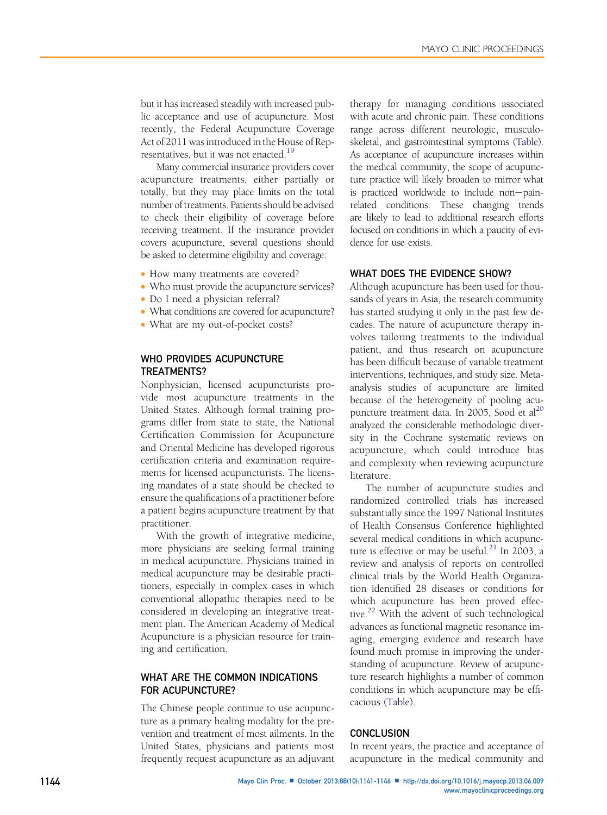but it has increased steadily with increased public acceptance and use of acupuncture. Most recently, the Federal Acupuncture Coverage Act of 2011 was introduced in the House of Representatives, but it was not enacted.<sup>19</sup>

Many commercial insurance providers cover acupuncture treatments, either partially or totally, but they may place limits on the total number of treatments. Patients should be advised to check their eligibility of coverage before receiving treatment. If the insurance provider covers acupuncture, several questions should be asked to determine eligibility and coverage:

- How many treatments are covered?
- Who must provide the acupuncture services?
- Do I need a physician referral?
- What conditions are covered for acupuncture?
- What are my out-of-pocket costs?

# WHO PROVIDES ACUPUNCTURE TREATMENTS?

Nonphysician, licensed acupuncturists provide most acupuncture treatments in the United States. Although formal training programs differ from state to state, the National Certification Commission for Acupuncture and Oriental Medicine has developed rigorous certification criteria and examination requirements for licensed acupuncturists. The licensing mandates of a state should be checked to ensure the qualifications of a practitioner before a patient begins acupuncture treatment by that practitioner.

With the growth of integrative medicine, more physicians are seeking formal training in medical acupuncture. Physicians trained in medical acupuncture may be desirable practitioners, especially in complex cases in which conventional allopathic therapies need to be considered in developing an integrative treatment plan. The American Academy of Medical Acupuncture is a physician resource for training and certification.

# WHAT ARE THE COMMON INDICATIONS FOR ACUPUNCTURE?

The Chinese people continue to use acupuncture as a primary healing modality for the prevention and treatment of most ailments. In the United States, physicians and patients most frequently request acupuncture as an adjuvant therapy for managing conditions associated with acute and chronic pain. These conditions range across different neurologic, musculoskeletal, and gastrointestinal symptoms [\(Table\)](#page-4-0). As acceptance of acupuncture increases within the medical community, the scope of acupuncture practice will likely broaden to mirror what is practiced worldwide to include non-painrelated conditions. These changing trends are likely to lead to additional research efforts focused on conditions in which a paucity of evidence for use exists.

### WHAT DOES THE EVIDENCE SHOW?

Although acupuncture has been used for thousands of years in Asia, the research community has started studying it only in the past few decades. The nature of acupuncture therapy involves tailoring treatments to the individual patient, and thus research on acupuncture has been difficult because of variable treatment interventions, techniques, and study size. Metaanalysis studies of acupuncture are limited because of the heterogeneity of pooling acu-puncture treatment data. In [20](#page-5-0)05, Sood et al<sup>20</sup> analyzed the considerable methodologic diversity in the Cochrane systematic reviews on acupuncture, which could introduce bias and complexity when reviewing acupuncture literature.

The number of acupuncture studies and randomized controlled trials has increased substantially since the 1997 National Institutes of Health Consensus Conference highlighted several medical conditions in which acupunc-ture is effective or may be useful.<sup>[21](#page-5-0)</sup> In 2003, a review and analysis of reports on controlled clinical trials by the World Health Organization identified 28 diseases or conditions for which acupuncture has been proved effective.<sup>22</sup> With the advent of such technological advances as functional magnetic resonance imaging, emerging evidence and research have found much promise in improving the understanding of acupuncture. Review of acupuncture research highlights a number of common conditions in which acupuncture may be efficacious [\(Table\)](#page-4-0).

#### **CONCLUSION**

In recent years, the practice and acceptance of acupuncture in the medical community and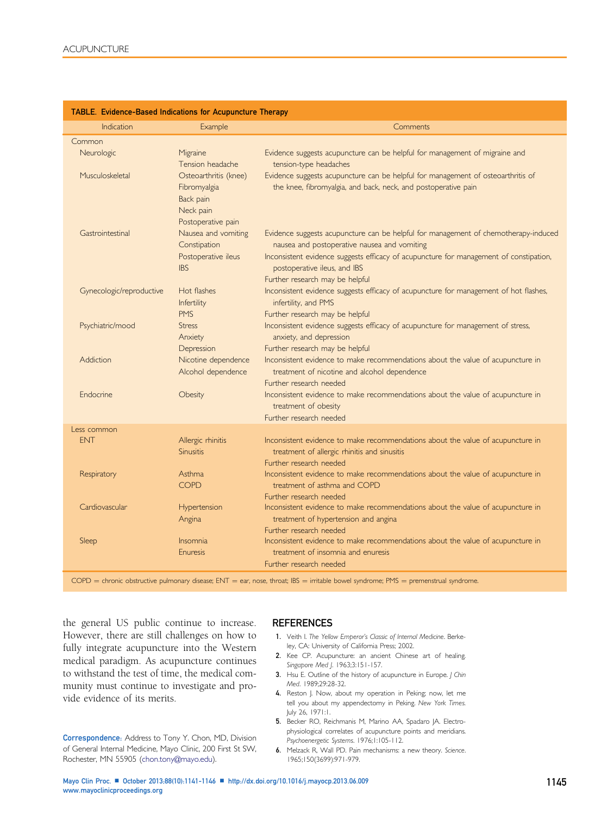<span id="page-4-0"></span>

| <b>TABLE.</b> Evidence-Based Indications for Acupuncture Therapy |                                   |                                                                                                                        |
|------------------------------------------------------------------|-----------------------------------|------------------------------------------------------------------------------------------------------------------------|
| Indication                                                       | Example                           | Comments                                                                                                               |
| Common                                                           |                                   |                                                                                                                        |
| Neurologic                                                       | Migraine<br>Tension headache      | Evidence suggests acupuncture can be helpful for management of migraine and<br>tension-type headaches                  |
| Musculoskeletal                                                  | Osteoarthritis (knee)             | Evidence suggests acupuncture can be helpful for management of osteoarthritis of                                       |
|                                                                  | Fibromyalgia                      | the knee, fibromyalgia, and back, neck, and postoperative pain                                                         |
|                                                                  | Back pain                         |                                                                                                                        |
|                                                                  | Neck pain                         |                                                                                                                        |
|                                                                  | Postoperative pain                |                                                                                                                        |
| Gastrointestinal                                                 | Nausea and vomiting               | Evidence suggests acupuncture can be helpful for management of chemotherapy-induced                                    |
|                                                                  | Constipation                      | nausea and postoperative nausea and vomiting                                                                           |
|                                                                  | Postoperative ileus<br><b>IBS</b> | Inconsistent evidence suggests efficacy of acupuncture for management of constipation,<br>postoperative ileus, and IBS |
|                                                                  |                                   | Further research may be helpful                                                                                        |
| Gynecologic/reproductive                                         | Hot flashes                       | Inconsistent evidence suggests efficacy of acupuncture for management of hot flashes,                                  |
|                                                                  | Infertility                       | infertility, and PMS                                                                                                   |
|                                                                  | <b>PMS</b>                        | Further research may be helpful                                                                                        |
| Psychiatric/mood                                                 | <b>Stress</b>                     | Inconsistent evidence suggests efficacy of acupuncture for management of stress,                                       |
|                                                                  | Anxiety                           | anxiety, and depression                                                                                                |
|                                                                  | Depression                        | Further research may be helpful                                                                                        |
| Addiction                                                        | Nicotine dependence               | Inconsistent evidence to make recommendations about the value of acupuncture in                                        |
|                                                                  | Alcohol dependence                | treatment of nicotine and alcohol dependence                                                                           |
| <b>Endocrine</b>                                                 |                                   | Further research needed                                                                                                |
|                                                                  | Obesity                           | Inconsistent evidence to make recommendations about the value of acupuncture in<br>treatment of obesity                |
|                                                                  |                                   | Further research needed                                                                                                |
| Less common                                                      |                                   |                                                                                                                        |
| <b>ENT</b>                                                       | Allergic rhinitis                 | Inconsistent evidence to make recommendations about the value of acupuncture in                                        |
|                                                                  | <b>Sinusitis</b>                  | treatment of allergic rhinitis and sinusitis                                                                           |
|                                                                  |                                   | Further research needed                                                                                                |
| Respiratory                                                      | Asthma                            | Inconsistent evidence to make recommendations about the value of acupuncture in                                        |
|                                                                  | <b>COPD</b>                       | treatment of asthma and COPD                                                                                           |
|                                                                  |                                   | Further research needed                                                                                                |
| Cardiovascular                                                   | Hypertension                      | Inconsistent evidence to make recommendations about the value of acupuncture in                                        |
|                                                                  | Angina                            | treatment of hypertension and angina                                                                                   |
|                                                                  |                                   | Further research needed                                                                                                |
| Sleep                                                            | Insomnia                          | Inconsistent evidence to make recommendations about the value of acupuncture in                                        |
|                                                                  | <b>Enuresis</b>                   | treatment of insomnia and enuresis<br>Further research needed                                                          |
|                                                                  |                                   |                                                                                                                        |

 $COPD =$  chronic obstructive pulmonary disease;  $ENT =$  ear, nose, throat; IBS  $=$  irritable bowel syndrome; PMS  $=$  premenstrual syndrome.

the general US public continue to increase. However, there are still challenges on how to fully integrate acupuncture into the Western medical paradigm. As acupuncture continues to withstand the test of time, the medical community must continue to investigate and provide evidence of its merits.

Correspondence: Address to Tony Y. Chon, MD, Division of General Internal Medicine, Mayo Clinic, 200 First St SW, Rochester, MN 55905 ([chon.tony@mayo.edu\)](mailto:chon.tony@mayo.edu).

#### REFERENCES

- 1. Veith I. The Yellow Emperor's Classic of Internal Medicine. Berkeley, CA: University of California Press; 2002.
- 2. Kee CP. Acupuncture: an ancient Chinese art of healing. Singapore Med J. 1963;3:151-157.
- 3. Hsu E. Outline of the history of acupuncture in Europe. J Chin Med. 1989;29:28-32.
- 4. Reston J. Now, about my operation in Peking; now, let me tell you about my appendectomy in Peking. New York Times. July 26, 1971:1.
- 5. Becker RO, Reichmanis M, Marino AA, Spadaro JA. Electrophysiological correlates of acupuncture points and meridians. Psychoenergetic Systems. 1976;1:105-112.
- 6. Melzack R, Wall PD. Pain mechanisms: a new theory. Science. 1965;150(3699):971-979.